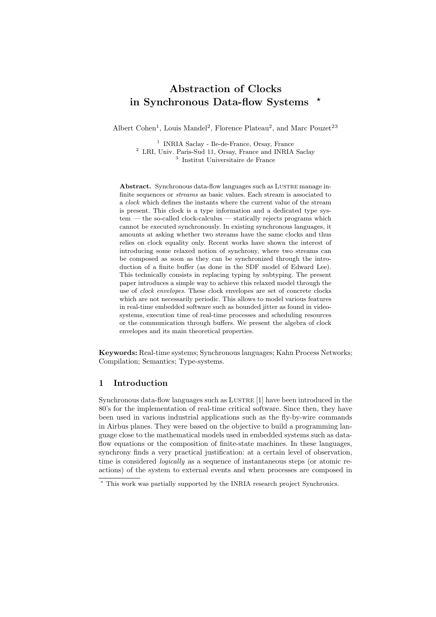# Abstraction of Clocks in Synchronous Data-flow Systems  $*$

Albert Cohen<sup>1</sup>, Louis Mandel<sup>2</sup>, Florence Plateau<sup>2</sup>, and Marc Pouzet<sup>23</sup>

1 INRIA Saclay - Ile-de-France, Orsay, France <sup>2</sup> LRI, Univ. Paris-Sud 11, Orsay, France and INRIA Saclay 3 Institut Universitaire de France

Abstract. Synchronous data-flow languages such as LUSTRE manage infinite sequences or streams as basic values. Each stream is associated to a clock which defines the instants where the current value of the stream is present. This clock is a type information and a dedicated type system — the so-called clock-calculus — statically rejects programs which cannot be executed synchronously. In existing synchronous languages, it amounts at asking whether two streams have the same clocks and thus relies on clock equality only. Recent works have shown the interest of introducing some relaxed notion of synchrony, where two streams can be composed as soon as they can be synchronized through the introduction of a finite buffer (as done in the SDF model of Edward Lee). This technically consists in replacing typing by subtyping. The present paper introduces a simple way to achieve this relaxed model through the use of clock envelopes. These clock envelopes are set of concrete clocks which are not necessarily periodic. This allows to model various features in real-time embedded software such as bounded jitter as found in videosystems, execution time of real-time processes and scheduling resources or the communication through buffers. We present the algebra of clock envelopes and its main theoretical properties.

Keywords: Real-time systems; Synchronous languages; Kahn Process Networks; Compilation; Semantics; Type-systems.

# 1 Introduction

Synchronous data-flow languages such as LUSTRE [1] have been introduced in the 80's for the implementation of real-time critical software. Since then, they have been used in various industrial applications such as the fly-by-wire commands in Airbus planes. They were based on the objective to build a programming language close to the mathematical models used in embedded systems such as dataflow equations or the composition of finite-state machines. In these languages, synchrony finds a very practical justification: at a certain level of observation, time is considered *logically* as a sequence of instantaneous steps (or atomic reactions) of the system to external events and when processes are composed in

<sup>⋆</sup> This work was partially supported by the INRIA research project Synchronics.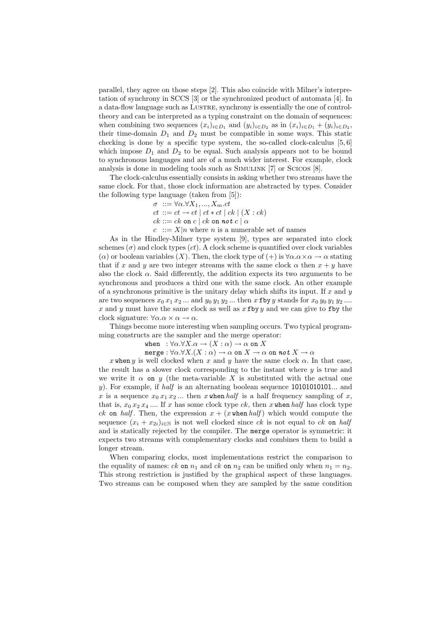parallel, they agree on those steps [2]. This also coincide with Milner's interpretation of synchrony in SCCS [3] or the synchronized product of automata [4]. In a data-flow language such as LUSTRE, synchrony is essentially the one of controltheory and can be interpreted as a typing constraint on the domain of sequences: when combining two sequences  $(x_i)_{i \in D_1}$  and  $(y_i)_{i \in D_2}$  as in  $(x_i)_{i \in D_1} + (y_i)_{i \in D_2}$ , their time-domain  $D_1$  and  $D_2$  must be compatible in some ways. This static checking is done by a specific type system, the so-called clock-calculus [5, 6] which impose  $D_1$  and  $D_2$  to be equal. Such analysis appears not to be bound to synchronous languages and are of a much wider interest. For example, clock analysis is done in modeling tools such as SIMULINK [7] or SCICOS [8].

The clock-calculus essentially consists in asking whether two streams have the same clock. For that, those clock information are abstracted by types. Consider the following type language (taken from [5]):

- $\sigma$  ::=  $\forall \alpha. \forall X_1, ..., X_m.ct$
- $ct := ct \rightarrow ct \mid ct * ct \mid ck \mid (X : ck)$
- $ck ::= ck$  on  $c \mid ck$  on not  $c \mid \alpha$

 $c := X|n$  where n is a numerable set of names

As in the Hindley-Milner type system [9], types are separated into clock schemes  $(\sigma)$  and clock types  $(ct)$ . A clock scheme is quantified over clock variables  $(\alpha)$  or boolean variables  $(X)$ . Then, the clock type of  $(+)$  is  $\forall \alpha.\alpha \times \alpha \rightarrow \alpha$  stating that if x and y are two integer streams with the same clock  $\alpha$  then  $x + y$  have also the clock  $\alpha$ . Said differently, the addition expects its two arguments to be synchronous and produces a third one with the same clock. An other example of a synchronous primitive is the unitary delay which shifts its input. If  $x$  and  $y$ are two sequences  $x_0 x_1 x_2 ...$  and  $y_0 y_1 y_2 ...$  then x fby y stands for  $x_0 y_0 y_1 y_2 ...$ x and y must have the same clock as well as  $x$  fby y and we can give to fby the clock signature:  $\forall \alpha \ldotp \alpha \times \alpha \rightarrow \alpha$ .

Things become more interesting when sampling occurs. Two typical programming constructs are the sampler and the merge operator:

when :  $\forall \alpha. \forall X. \alpha \rightarrow (X : \alpha) \rightarrow \alpha$  on X

merge :  $\forall \alpha. \forall X. (X : \alpha) \rightarrow \alpha$  on  $X \rightarrow \alpha$  on not  $X \rightarrow \alpha$ 

x when y is well clocked when x and y have the same clock  $\alpha$ . In that case, the result has a slower clock corresponding to the instant where  $y$  is true and we write it  $\alpha$  on y (the meta-variable X is substituted with the actual one y). For example, if half is an alternating boolean sequence  $10101010101...$  and x is a sequence  $x_0 x_1 x_2 ...$  then x when half is a half frequency sampling of x, that is,  $x_0 x_2 x_4 \dots$  If x has some clock type ck, then x when half has clock type ck on half. Then, the expression  $x + (x \text{ when } \text{half})$  which would compute the sequence  $(x_i + x_{2i})_{i \in \mathbb{N}}$  is not well clocked since ck is not equal to ck on half and is statically rejected by the compiler. The merge operator is symmetric: it expects two streams with complementary clocks and combines them to build a longer stream.

When comparing clocks, most implementations restrict the comparison to the equality of names: ck on  $n_1$  and ck on  $n_2$  can be unified only when  $n_1 = n_2$ . This strong restriction is justified by the graphical aspect of these languages. Two streams can be composed when they are sampled by the same condition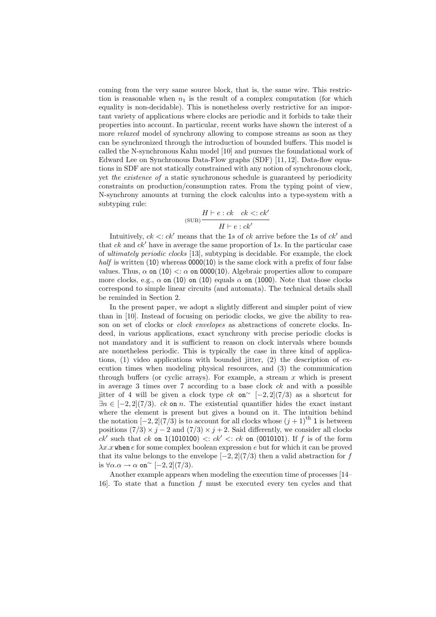coming from the very same source block, that is, the same wire. This restriction is reasonable when  $n_1$  is the result of a complex computation (for which equality is non-decidable). This is nonetheless overly restrictive for an important variety of applications where clocks are periodic and it forbids to take their properties into account. In particular, recent works have shown the interest of a more *relaxed* model of synchrony allowing to compose streams as soon as they can be synchronized through the introduction of bounded buffers. This model is called the N-synchronous Kahn model [10] and pursues the foundational work of Edward Lee on Synchronous Data-Flow graphs (SDF) [11, 12]. Data-flow equations in SDF are not statically constrained with any notion of synchronous clock, yet the existence of a static synchronous schedule is guaranteed by periodicity constraints on production/consumption rates. From the typing point of view, N-synchrony amounts at turning the clock calculus into a type-system with a subtyping rule:

$$
\text{(SUB)} \frac{H \vdash e : ck \quad ck < : ck'}{H \vdash e : ck'}
$$

Intuitively,  $ck <: ck'$  means that the 1s of ck arrive before the 1s of  $ck'$  and that  $ck$  and  $ck'$  have in average the same proportion of 1s. In the particular case of ultimately periodic clocks [13], subtyping is decidable. For example, the clock half is written  $(10)$  whereas  $0000(10)$  is the same clock with a prefix of four false values. Thus,  $\alpha$  on (10)  $\lt: \alpha$  on 0000(10). Algebraic properties allow to compare more clocks, e.g.,  $\alpha$  on (10) on (10) equals  $\alpha$  on (1000). Note that those clocks correspond to simple linear circuits (and automata). The technical details shall be reminded in Section 2.

In the present paper, we adopt a slightly different and simpler point of view than in [10]. Instead of focusing on periodic clocks, we give the ability to reason on set of clocks or *clock envelopes* as abstractions of concrete clocks. Indeed, in various applications, exact synchrony with precise periodic clocks is not mandatory and it is sufficient to reason on clock intervals where bounds are nonetheless periodic. This is typically the case in three kind of applications, (1) video applications with bounded jitter, (2) the description of execution times when modeling physical resources, and (3) the communication through buffers (or cyclic arrays). For example, a stream  $x$  which is present in average 3 times over 7 according to a base clock  $ck$  and with a possible jitter of 4 will be given a clock type  $ck$  on<sup>∼</sup> [−2, 2](7/3) as a shortcut for  $\exists n \in [-2, 2](7/3)$ . ck on n. The existential quantifier hides the exact instant where the element is present but gives a bound on it. The intuition behind the notation  $[-2, 2](7/3)$  is to account for all clocks whose  $(i + 1)$ <sup>th</sup> 1 is between positions  $(7/3) \times j - 2$  and  $(7/3) \times j + 2$ . Said differently, we consider all clocks ck' such that ck on  $1(1010100) \leq c k' \leq c k$  on (0010101). If f is of the form  $\lambda x.x$  when e for some complex boolean expression e but for which it can be proved that its value belongs to the envelope  $[-2, 2](7/3)$  then a valid abstraction for f is  $\forall \alpha \ldotp \alpha \rightarrow \alpha$  on<sup>∼</sup> [-2, 2](7/3).

Another example appears when modeling the execution time of processes [14– 16]. To state that a function f must be executed every ten cycles and that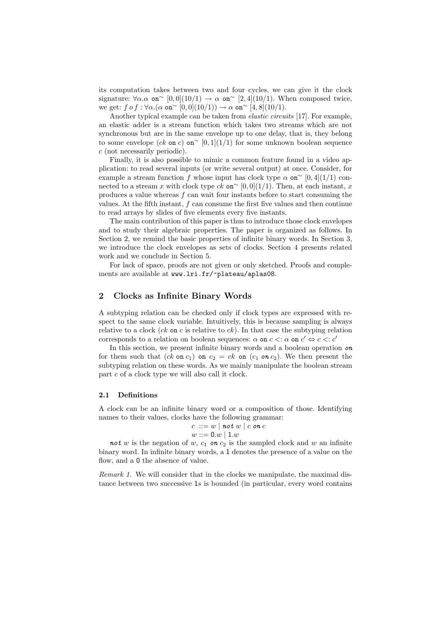its computation takes between two and four cycles, we can give it the clock signature:  $\forall \alpha \cdot \alpha$  on<sup>∼</sup> [0, 0](10/1) →  $\alpha$  on<sup>∼</sup> [2, 4](10/1). When composed twice, we get:  $f \circ f : \forall \alpha . (\alpha \text{ on}^{\sim} [0,0](10/1)) \rightarrow \alpha \text{ on}^{\sim} [4,8](10/1).$ 

Another typical example can be taken from elastic circuits [17]. For example, an elastic adder is a stream function which takes two streams which are not synchronous but are in the same envelope up to one delay, that is, they belong to some envelope  $(ck \text{ on } c)$  on<sup>∼</sup> [0, 1](1/1) for some unknown boolean sequence c (not necessarily periodic).

Finally, it is also possible to mimic a common feature found in a video application: to read several inputs (or write several output) at once. Consider, for example a stream function f whose input has clock type  $\alpha$  on $\sim$  [0, 4](1/1) connected to a stream x with clock type ck on<sup>∼</sup> [0, 0](1/1). Then, at each instant, x produces a value whereas  $f$  can wait four instants before to start consuming the values. At the fifth instant,  $f$  can consume the first five values and then continue to read arrays by slides of five elements every five instants.

The main contribution of this paper is thus to introduce those clock envelopes and to study their algebraic properties. The paper is organized as follows. In Section 2, we remind the basic properties of infinite binary words. In Section 3, we introduce the clock envelopes as sets of clocks. Section 4 presents related work and we conclude in Section 5.

For lack of space, proofs are not given or only sketched. Proofs and complements are available at www.lri.fr/~plateau/aplas08.

# 2 Clocks as Infinite Binary Words

A subtyping relation can be checked only if clock types are expressed with respect to the same clock variable. Intuitively, this is because sampling is always relative to a clock  $(ck \text{ on } c \text{ is relative to } ck)$ . In that case the subtyping relation corresponds to a relation on boolean sequences:  $\alpha$  on  $c < \alpha$  on  $c' \Leftrightarrow c < c'$ 

In this section, we present infinite binary words and a boolean operation  $\mathfrak{on}$ for them such that  $(ck \text{ on } c_1)$  on  $c_2 = ck$  on  $(c_1 \text{ on } c_2)$ . We then present the subtyping relation on these words. As we mainly manipulate the boolean stream part c of a clock type we will also call it clock.

### 2.1 Definitions

A clock can be an infinite binary word or a composition of those. Identifying names to their values, clocks have the following grammar:

$$
c ::= w \mid \textit{not } w \mid c \textit{ on } c
$$
  

$$
w ::= 0.w \mid 1.w
$$

not w is the negation of w,  $c_1$  on  $c_2$  is the sampled clock and w an infinite binary word. In infinite binary words, a 1 denotes the presence of a value on the flow, and a 0 the absence of value.

Remark 1. We will consider that in the clocks we manipulate, the maximal distance between two successive  $1s$  is bounded (in particular, every word contains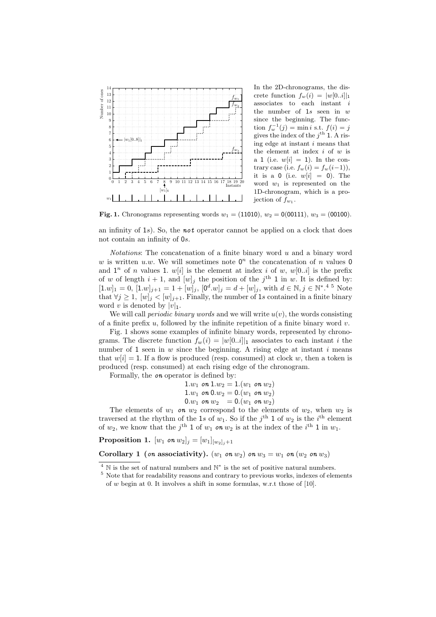

In the 2D-chronograms, the discrete function  $f_w(i) = |w[0..i]|_1$ associates to each instant  $\boldsymbol{i}$ the number of  $1s$  seen in  $w$ since the beginning. The function  $f_w^{-1}(j) = \min_i j$  s.t.  $f(i) = j$ gives the index of the  $j^{\text{th}}$  1. A rising edge at instant i means that the element at index  $i$  of  $w$  is a 1 (i.e.  $w[i] = 1$ ). In the contrary case (i.e.  $f_w(i) = f_w(i-1)$ ), it is a 0 (i.e.  $w[i] = 0$ ). The word  $w_1$  is represented on the 1D-chronogram, which is a projection of  $f_{w_1}$ .

**Fig. 1.** Chronograms representing words  $w_1 = (11010), w_2 = 0(00111), w_3 = (00100)$ .

an infinity of 1s). So, the *not* operator cannot be applied on a clock that does not contain an infinity of 0s.

*Notations:* The concatenation of a finite binary word  $u$  and a binary word w is written u.w. We will sometimes note  $0<sup>n</sup>$  the concatenation of n values 0 and  $1^n$  of n values 1.  $w[i]$  is the element at index i of w,  $w[0..i]$  is the prefix of w of length  $i + 1$ , and  $[w]_j$  the position of the  $j^{\text{th}}$  1 in w. It is defined by:  $[1.w]_1 = 0$ ,  $[1.w]_{j+1} = 1 + [w]_j$ ,  $[0^d.w]_j = d + [w]_j$ , with  $d \in \mathbb{N}, j \in \mathbb{N}^*$ .<sup>45</sup> Note that  $\forall j \geq 1$ ,  $[w]_j < [w]_{j+1}$ . Finally, the number of 1s contained in a finite binary word v is denoted by  $|v|_1$ .

We will call *periodic binary words* and we will write  $u(v)$ , the words consisting of a finite prefix  $u$ , followed by the infinite repetition of a finite binary word  $v$ .

Fig. 1 shows some examples of infinite binary words, represented by chronograms. The discrete function  $f_w(i) = |w[0..i]|_1$  associates to each instant i the number of 1 seen in w since the beginning. A rising edge at instant  $i$  means that  $w[i] = 1$ . If a flow is produced (resp. consumed) at clock w, then a token is produced (resp. consumed) at each rising edge of the chronogram.

Formally, the on operator is defined by:

1. $w_1$  on  $1.w_2 = 1.(w_1 \text{ on } w_2)$ 1. $w_1$  on  $0.w_2 = 0.(w_1 \text{ on } w_2)$ 0. $w_1$  on  $w_2$  = 0. $(w_1$  on  $w_2)$ 

The elements of  $w_1$  on  $w_2$  correspond to the elements of  $w_2$ , when  $w_2$  is traversed at the rhythm of the 1s of  $w_1$ . So if the j<sup>th</sup> 1 of  $w_2$  is the i<sup>th</sup> element of  $w_2$ , we know that the j<sup>th</sup> 1 of  $w_1$  on  $w_2$  is at the index of the i<sup>th</sup> 1 in  $w_1$ .

**Proposition 1.**  $[w_1 \text{ on } w_2]_j = [w_1]_{[w_2]_j+1}$ 

Corollary 1 (on associativity).  $(w_1 \text{ on } w_2)$  on  $w_3 = w_1$  on  $(w_2 \text{ on } w_3)$ 

 $^4$  N is the set of natural numbers and  $\mathbb{N}^*$  is the set of positive natural numbers.

<sup>5</sup> Note that for readability reasons and contrary to previous works, indexes of elements of w begin at 0. It involves a shift in some formulas, w.r.t those of [10].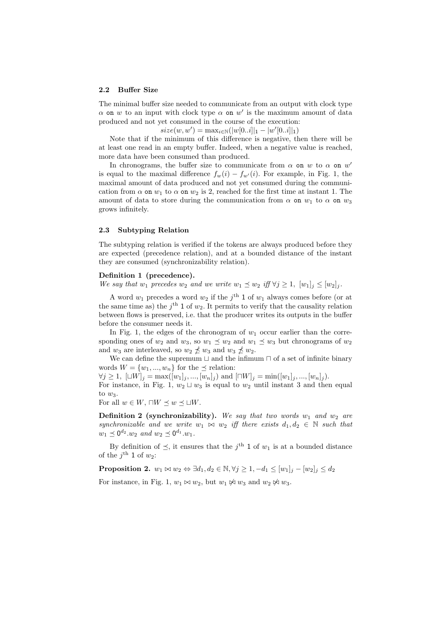#### 2.2 Buffer Size

The minimal buffer size needed to communicate from an output with clock type  $\alpha$  on w to an input with clock type  $\alpha$  on w' is the maximum amount of data produced and not yet consumed in the course of the execution:

 $size(w, w') = \max_{i \in \mathbb{N}}(|w[0..i]|_1 - |w'[0..i]|_1)$ 

Note that if the minimum of this difference is negative, then there will be at least one read in an empty buffer. Indeed, when a negative value is reached, more data have been consumed than produced.

In chronograms, the buffer size to communicate from  $\alpha$  on w to  $\alpha$  on w' is equal to the maximal difference  $f_w(i) - f_{w'}(i)$ . For example, in Fig. 1, the maximal amount of data produced and not yet consumed during the communication from  $\alpha$  on  $w_1$  to  $\alpha$  on  $w_2$  is 2, reached for the first time at instant 1. The amount of data to store during the communication from  $\alpha$  on  $w_1$  to  $\alpha$  on  $w_3$ grows infinitely.

### 2.3 Subtyping Relation

The subtyping relation is verified if the tokens are always produced before they are expected (precedence relation), and at a bounded distance of the instant they are consumed (synchronizability relation).

### Definition 1 (precedence).

We say that w<sub>1</sub> precedes w<sub>2</sub> and we write  $w_1 \prec w_2$  iff  $\forall j \geq 1$ ,  $[w_1]_i \leq [w_2]_j$ .

A word  $w_1$  precedes a word  $w_2$  if the  $j^{\text{th}}$  1 of  $w_1$  always comes before (or at the same time as) the  $j<sup>th</sup> 1$  of  $w<sub>2</sub>$ . It permits to verify that the causality relation between flows is preserved, i.e. that the producer writes its outputs in the buffer before the consumer needs it.

In Fig. 1, the edges of the chronogram of  $w_1$  occur earlier than the corresponding ones of  $w_2$  and  $w_3$ , so  $w_1 \preceq w_2$  and  $w_1 \preceq w_3$  but chronograms of  $w_2$ and  $w_3$  are interleaved, so  $w_2 \npreceq w_3$  and  $w_3 \npreceq w_2$ .

We can define the supremum ⊔ and the infimum ⊓ of a set of infinite binary words  $W = \{w_1, ..., w_n\}$  for the  $\preceq$  relation:

 $\forall j \geq 1, \ [\sqcup W]_j = \max([w_1]_j, ..., [w_n]_j) \text{ and } [\sqcap W]_j = \min([w_1]_j, ..., [w_n]_j).$ For instance, in Fig. 1,  $w_2 \sqcup w_3$  is equal to  $w_2$  until instant 3 and then equal to  $w_3$ .

For all  $w \in W$ ,  $\sqcap W \preceq w \preceq \sqcup W$ .

Definition 2 (synchronizability). We say that two words  $w_1$  and  $w_2$  are synchronizable and we write  $w_1 \Join w_2$  iff there exists  $d_1, d_2 \in \mathbb{N}$  such that  $w_1 \preceq 0^{d_2}.w_2$  and  $w_2 \preceq 0^{d_1}.w_1$ .

By definition of  $\preceq$ , it ensures that the j<sup>th</sup> 1 of  $w_1$  is at a bounded distance of the  $j^{\text{th}}$  1 of  $w_2$ :

**Proposition 2.**  $w_1 \bowtie w_2 \Leftrightarrow \exists d_1, d_2 \in \mathbb{N}, \forall j \geq 1, -d_1 \leq [w_1]_j - [w_2]_j \leq d_2$ 

For instance, in Fig. 1,  $w_1 \Join w_2$ , but  $w_1 \Join w_3$  and  $w_2 \Join w_3$ .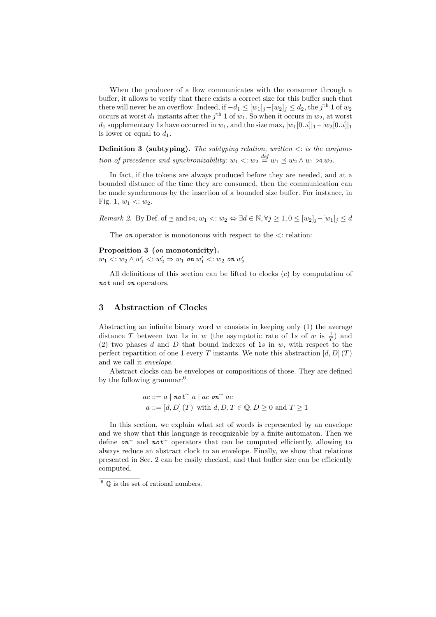When the producer of a flow communicates with the consumer through a buffer, it allows to verify that there exists a correct size for this buffer such that there will never be an overflow. Indeed, if  $-d_1 \leq [w_1]_j - [w_2]_j \leq d_2$ , the j<sup>th</sup> 1 of  $w_2$ occurs at worst  $d_1$  instants after the  $j^{\text{th}}$  1 of  $w_1$ . So when it occurs in  $w_2$ , at worst  $d_1$  supplementary 1s have occurred in  $w_1$ , and the size  $\max_i |w_1[0..i]|_1 - |w_2[0..i]|_1$ is lower or equal to  $d_1$ .

**Definition 3 (subtyping).** The subtyping relation, written  $\lt$ : is the conjunction of precedence and synchronizability:  $w_1 < w_2 \stackrel{def}{=} w_1 \preceq w_2 \wedge w_1 \bowtie w_2$ .

In fact, if the tokens are always produced before they are needed, and at a bounded distance of the time they are consumed, then the communication can be made synchronous by the insertion of a bounded size buffer. For instance, in Fig. 1,  $w_1 \leq w_2$ .

Remark 2. By Def. of  $\preceq$  and  $\bowtie$ ,  $w_1 \lt: w_2 \Leftrightarrow \exists d \in \mathbb{N}, \forall j \geq 1, 0 \leq [w_2]_j - [w_1]_j \leq d$ 

The  $\text{o}n$  operator is monotonous with respect to the  $\lt$ : relation:

#### Proposition 3 (*on* monotonicity).

 $w_1$  <:  $w_2 \wedge w'_1$  <:  $w'_2$   $\Rightarrow$   $w_1$  on  $w'_1$  <:  $w_2$  on  $w'_2$ 

All definitions of this section can be lifted to clocks  $(c)$  by computation of not and on operators.

# 3 Abstraction of Clocks

Abstracting an infinite binary word  $w$  consists in keeping only  $(1)$  the average distance T between two 1s in w (the asymptotic rate of 1s of w is  $\frac{1}{T}$ ) and (2) two phases  $d$  and  $D$  that bound indexes of 1s in  $w$ , with respect to the perfect repartition of one 1 every T instants. We note this abstraction  $[d, D](T)$ and we call it envelope.

Abstract clocks can be envelopes or compositions of those. They are defined by the following grammar:<sup>6</sup>

$$
ac ::= a \mid \textit{not} \sim a \mid ac \textit{ on} \sim ac
$$

$$
a ::= [d, D] (T) \text{ with } d, D, T \in \mathbb{Q}, D \ge 0 \text{ and } T \ge 1
$$

In this section, we explain what set of words is represented by an envelope and we show that this language is recognizable by a finite automaton. Then we define  $\mathfrak{o}_n \mathfrak{v}$  and  $\mathfrak{not} \mathfrak{v}$  operators that can be computed efficiently, allowing to always reduce an abstract clock to an envelope. Finally, we show that relations presented in Sec. 2 can be easily checked, and that buffer size can be efficiently computed.

 $6 \circ$  is the set of rational numbers.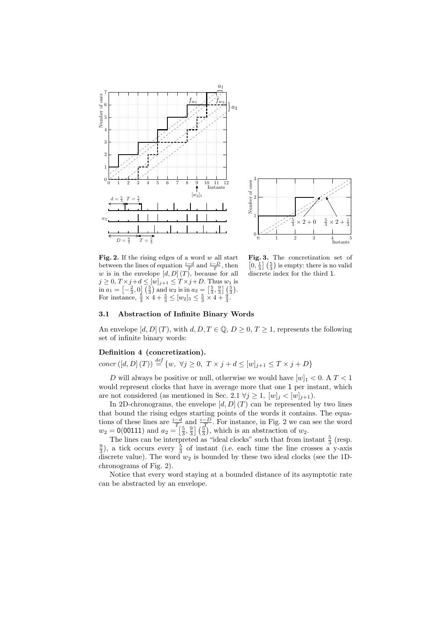



Fig. 2. If the rising edges of a word  $w$  all start between the lines of equation  $\frac{i-d}{T}$  and  $\frac{i-D}{T}$ , then w is in the envelope  $[d, D](T)$ , because for all  $j \geq 0, T \times j + d \leq [w]_{j+1} \leq T \times j + D$ . Thus  $w_1$  is in  $a_1 = \left[-\frac{2}{3}, 0\right] \left(\frac{5}{3}\right)$  and  $w_2$  is in  $a_2 = \left[\frac{5}{3}, \frac{9}{3}\right] \left(\frac{5}{3}\right)$ . For instance,  $\frac{5}{3} \times 4 + \frac{5}{3} \leq [w_2]_5 \leq \frac{5}{3} \times 4 + \frac{9}{3}$ .

Fig. 3. The concretization set of  $\left[0, \frac{1}{3}\right]$   $\left(\frac{5}{3}\right)$  is empty: there is no valid discrete index for the third 1.

### 3.1 Abstraction of Infinite Binary Words

An envelope  $[d, D](T)$ , with  $d, D, T \in \mathbb{Q}$ ,  $D \geq 0$ ,  $T \geq 1$ , represents the following set of infinite binary words:

# Definition 4 (concretization).

concr  $([d, D] (T)) \stackrel{def}{=} \{w, \forall j \geq 0, T \times j + d \leq [w]_{j+1} \leq T \times j + D\}$ 

D will always be positive or null, otherwise we would have  $[w]_1 < 0$ . A  $T < 1$ would represent clocks that have in average more that one 1 per instant, which are not considered (as mentioned in Sec. 2.1  $\forall j \geq 1$ ,  $[w]_i < [w]_{i+1}$ ).

In 2D-chronograms, the envelope  $[d, D](T)$  can be represented by two lines that bound the rising edges starting points of the words it contains. The equations of these lines are  $\frac{i-d}{T}$  and  $\frac{i-D}{T}$ . For instance, in Fig. 2 we can see the word  $w_2 = 0(00111)$  and  $a_2 = \left[\frac{5}{3}, \frac{9}{3}\right] \left(\frac{5}{3}\right)$ , which is an abstraction of  $w_2$ .

The lines can be interpreted as "ideal clocks" such that from instant  $\frac{5}{3}$  (resp.  $\frac{9}{3}$ ), a tick occurs every  $\frac{5}{3}$  of instant (i.e. each time the line crosses a y-axis discrete value). The word  $w_2$  is bounded by these two ideal clocks (see the 1Dchronograms of Fig. 2).

Notice that every word staying at a bounded distance of its asymptotic rate can be abstracted by an envelope.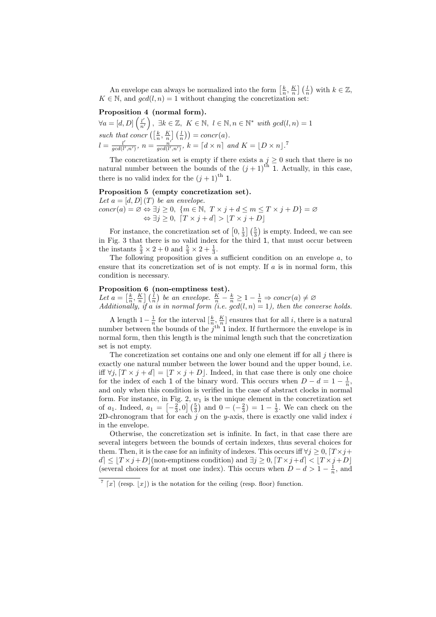An envelope can always be normalized into the form  $\left[\frac{k}{n}, \frac{K}{n}\right] \left(\frac{l}{n}\right)$  with  $k \in \mathbb{Z}$ ,  $K \in \mathbb{N}$ , and  $gcd(l, n) = 1$  without changing the concretization set:

Proposition 4 (normal form).

$$
\forall a = [d, D] \left(\frac{l'}{n'}\right), \exists k \in \mathbb{Z}, K \in \mathbb{N}, l \in \mathbb{N}, n \in \mathbb{N}^* \text{ with } gcd(l, n) = 1
$$
  
such that concr $\left(\left[\frac{k}{n}, \frac{K}{n}\right] \left(\frac{l}{n}\right)\right) = concr(a).$   

$$
l = \frac{l'}{gcd(l', n')}, n = \frac{n'}{gcd(l', n')}, k = \lceil d \times n \rceil \text{ and } K = \lfloor D \times n \rfloor.
$$

The concretization set is empty if there exists a  $j \geq 0$  such that there is no natural number between the bounds of the  $(j+1)$ <sup>th</sup> 1. Actually, in this case, there is no valid index for the  $(j + 1)^{th}$  1.

# Proposition 5 (empty concretization set).

Let  $a = [d, D]$  (T) be an envelope.  $concr(a) = \emptyset \Leftrightarrow \exists j \geq 0, \{m \in \mathbb{N}, T \times j + d \leq m \leq T \times j + D\} = \emptyset$  $\Leftrightarrow \exists j \geq 0, \ [T \times j + d] > [T \times j + D]$ 

For instance, the concretization set of  $\left[0, \frac{1}{3}\right] \left(\frac{5}{3}\right)$  is empty. Indeed, we can see in Fig. 3 that there is no valid index for the third 1, that must occur between the instants  $\frac{5}{3} \times 2 + 0$  and  $\frac{5}{3} \times 2 + \frac{1}{3}$ .

The following proposition gives a sufficient condition on an envelope  $a$ , to ensure that its concretization set of is not empty. If  $a$  is in normal form, this condition is necessary.

Proposition 6 (non-emptiness test). Let  $a = \left[\frac{k}{n}, \frac{K}{n}\right] \left(\frac{l}{n}\right)$  be an envelope.  $\frac{K}{n} - \frac{k}{n} \geq 1 - \frac{1}{n} \Rightarrow concr(a) \neq \emptyset$ Additionally, if a is in normal form (i.e.  $gcd(l, n) = 1$ ), then the converse holds.

A length  $1-\frac{1}{n}$  for the interval  $\left[\frac{k}{n},\frac{K}{n}\right]$  ensures that for all *i*, there is a natural number between the bounds of the  $j<sup>i</sup>$ th 1 index. If furthermore the envelope is in normal form, then this length is the minimal length such that the concretization set is not empty.

The concretization set contains one and only one element iff for all  $j$  there is exactly one natural number between the lower bound and the upper bound, i.e. iff  $\forall j, [T \times j + d] = |T \times j + D|$ . Indeed, in that case there is only one choice for the index of each 1 of the binary word. This occurs when  $D - d = 1 - \frac{1}{n}$ , and only when this condition is verified in the case of abstract clocks in normal form. For instance, in Fig. 2,  $w_1$  is the unique element in the concretization set of  $a_1$ . Indeed,  $a_1 = \left[-\frac{2}{3}, 0\right] \left(\frac{5}{3}\right)$  and  $0 - \left(-\frac{2}{3}\right) = 1 - \frac{1}{3}$ . We can check on the 2D-chronogram that for each  $j$  on the y-axis, there is exactly one valid index  $i$ in the envelope.

Otherwise, the concretization set is infinite. In fact, in that case there are several integers between the bounds of certain indexes, thus several choices for them. Then, it is the case for an infinity of indexes. This occurs iff  $\forall j \geq 0, [T \times j+1]$  $|d| \leq |T \times j + D|$  (non-emptiness condition) and  $\exists j \geq 0, |T \times j + d| < |T \times j + D|$ (several choices for at most one index). This occurs when  $D - d > 1 - \frac{1}{n}$ , and

 $\lceil x \rceil$  (resp.  $\lceil x \rceil$ ) is the notation for the ceiling (resp. floor) function.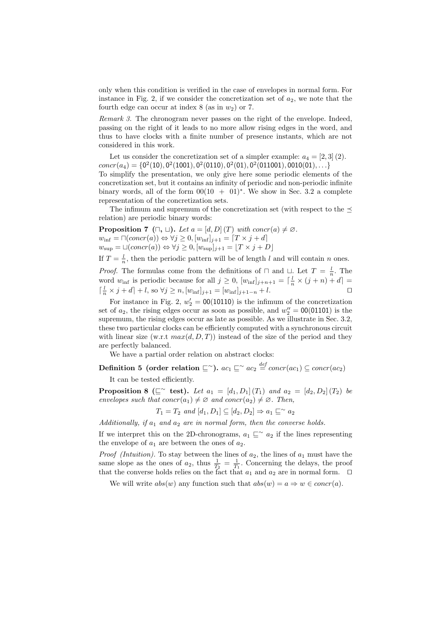only when this condition is verified in the case of envelopes in normal form. For instance in Fig. 2, if we consider the concretization set of  $a_2$ , we note that the fourth edge can occur at index  $8$  (as in  $w_2$ ) or 7.

Remark 3. The chronogram never passes on the right of the envelope. Indeed, passing on the right of it leads to no more allow rising edges in the word, and thus to have clocks with a finite number of presence instants, which are not considered in this work.

Let us consider the concretization set of a simpler example:  $a_4 = [2, 3]$  (2).  $concr(a_4) = \{0^2(10), 0^2(1001), 0^2(0110), 0^2(01), 0^2(011001), 0010(01), \ldots\}$ To simplify the presentation, we only give here some periodic elements of the concretization set, but it contains an infinity of periodic and non-periodic infinite binary words, all of the form  $00(10 + 01)^*$ . We show in Sec. 3.2 a complete

representation of the concretization sets. The infimum and supremum of the concretization set (with respect to the  $\preceq$ relation) are periodic binary words:

**Proposition 7** ( $\sqcap$ ,  $\sqcup$ ). Let  $a = [d, D](T)$  with concr( $a \neq \emptyset$ .  $w_{\text{inf}} = \Box (concr(a)) \Leftrightarrow \forall j \geq 0, [w_{\text{inf}}]_{j+1} = \Box T \times j + d$  $w_{\text{sup}} = \sqcup (concr(a)) \Leftrightarrow \forall j \geq 0, [w_{\text{sup}}]_{j+1} = \lfloor T \times j + D \rfloor$ 

If  $T = \frac{l}{n}$ , then the periodic pattern will be of length l and will contain n ones.

*Proof.* The formulas come from the definitions of  $\Box$  and  $\Box$ . Let  $T = \frac{l}{n}$ . The word  $w_{\text{inf}}$  is periodic because for all  $j \geq 0$ ,  $[w_{\text{inf}}]_{j+n+1} = \lceil \frac{l}{n} \times (j+n) + d \rceil$  $\lceil \frac{l}{n} \times j + d \rceil + l$ , so  $\forall j \ge n$ ,  $[w_{\text{inf}}]_{j+1} = [w_{\text{inf}}]_{j+1-n} + l$ . □

For instance in Fig. 2,  $w_2' = 00(10110)$  is the infimum of the concretization set of  $a_2$ , the rising edges occur as soon as possible, and  $w''_2 = 00(01101)$  is the supremum, the rising edges occur as late as possible. As we illustrate in Sec. 3.2, these two particular clocks can be efficiently computed with a synchronous circuit with linear size (w.r.t  $max(d, D, T)$ ) instead of the size of the period and they are perfectly balanced.

We have a partial order relation on abstract clocks:

 $\textbf{Definition 5 (order relation} \sqsubseteq^{\sim})\textbf{.}~ ac_1 \sqsubseteq^{\sim} ac_2 \overset{def}{=} concr(ac_1) \subseteq concr(ac_2)$ 

It can be tested efficiently.

**Proposition 8** ( $\sqsubseteq^{\sim}$  test). Let  $a_1 = [d_1, D_1](T_1)$  and  $a_2 = [d_2, D_2](T_2)$  be envelopes such that  $concr(a_1) \neq \emptyset$  and  $concr(a_2) \neq \emptyset$ . Then,

 $T_1 = T_2$  and  $[d_1, D_1] \subseteq [d_2, D_2] \Rightarrow a_1 \sqsubseteq^{\sim} a_2$ 

Additionally, if  $a_1$  and  $a_2$  are in normal form, then the converse holds.

If we interpret this on the 2D-chronograms,  $a_1 \subseteq \sim a_2$  if the lines representing the envelope of  $a_1$  are between the ones of  $a_2$ .

*Proof (Intuition)*. To stay between the lines of  $a_2$ , the lines of  $a_1$  must have the same slope as the ones of  $a_2$ , thus  $\frac{1}{T_2} = \frac{1}{T_1}$ . Concerning the delays, the proof that the converse holds relies on the fact that  $a_1$  and  $a_2$  are in normal form.  $\Box$ 

We will write  $abs(w)$  any function such that  $abs(w) = a \Rightarrow w \in concr(a)$ .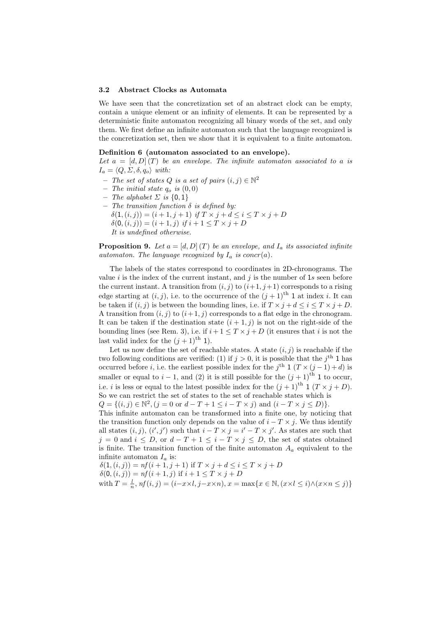#### 3.2 Abstract Clocks as Automata

We have seen that the concretization set of an abstract clock can be empty, contain a unique element or an infinity of elements. It can be represented by a deterministic finite automaton recognizing all binary words of the set, and only them. We first define an infinite automaton such that the language recognized is the concretization set, then we show that it is equivalent to a finite automaton.

#### Definition 6 (automaton associated to an envelope).

Let  $a = [d, D](T)$  be an envelope. The infinite automaton associated to a is  $I_a = \langle Q, \Sigma, \delta, q_o \rangle$  with:

- $-$  The set of states Q is a set of pairs  $(i, j) \in \mathbb{N}^2$
- The initial state  $q_o$  is  $(0,0)$
- The alphabet  $\Sigma$  is  $\{0,1\}$
- The transition function  $\delta$  is defined by:
	- $\delta(1,(i,j)) = (i + 1, j + 1)$  if  $T \times j + d \leq i \leq T \times j + D$
	- $\delta(0,(i,j)) = (i + 1, j)$  if  $i + 1 \leq T \times j + D$
	- It is undefined otherwise.

**Proposition 9.** Let  $a = [d, D](T)$  be an envelope, and  $I_a$  its associated infinite automaton. The language recognized by  $I_a$  is concr(a).

The labels of the states correspond to coordinates in 2D-chronograms. The value i is the index of the current instant, and j is the number of 1s seen before the current instant. A transition from  $(i, j)$  to  $(i+1, j+1)$  corresponds to a rising edge starting at  $(i, j)$ , i.e. to the occurrence of the  $(j + 1)$ <sup>th</sup> 1 at index *i*. It can be taken if  $(i, j)$  is between the bounding lines, i.e. if  $T \times j + d \leq i \leq T \times j + D$ . A transition from  $(i, j)$  to  $(i+1, j)$  corresponds to a flat edge in the chronogram. It can be taken if the destination state  $(i + 1, j)$  is not on the right-side of the bounding lines (see Rem. 3), i.e. if  $i+1 \leq T \times j+D$  (it ensures that i is not the last valid index for the  $(j + 1)$ <sup>th</sup> 1).

Let us now define the set of reachable states. A state  $(i, j)$  is reachable if the two following conditions are verified: (1) if  $j > 0$ , it is possible that the j<sup>th</sup> 1 has occurred before *i*, i.e. the earliest possible index for the  $j^{\text{th}}$  1 ( $T \times (j-1) + d$ ) is smaller or equal to  $i - 1$ , and (2) it is still possible for the  $(j + 1)^{t\tilde{h}}$  1 to occur, i.e. i is less or equal to the latest possible index for the  $(j+1)$ <sup>th</sup> 1 ( $T \times j + D$ ). So we can restrict the set of states to the set of reachable states which is

 $Q = \{(i, j) \in \mathbb{N}^2, (j = 0 \text{ or } d - T + 1 \leq i - T \times j) \text{ and } (i - T \times j \leq D)\}.$ 

This infinite automaton can be transformed into a finite one, by noticing that the transition function only depends on the value of  $i - T \times j$ . We thus identify all states  $(i, j)$ ,  $(i', j')$  such that  $i - T \times j = i' - T \times j'$ . As states are such that  $j = 0$  and  $i \leq D$ , or  $d - T + 1 \leq i - T \times j \leq D$ , the set of states obtained is finite. The transition function of the finite automaton  $A_a$  equivalent to the infinite automaton  $I_a$  is:

 $\delta(1,(i,j)) = nf(i+\overline{1},j+1)$  if  $T \times j + d \leq i \leq T \times j + D$ 

 $\delta(0, (i, j)) = nf(i + 1, j)$  if  $i + 1 \leq T \times j + D$ 

with  $T = \frac{l}{n}$ ,  $nf(i, j) = (i - x \times l, j - x \times n)$ ,  $x = \max\{x \in \mathbb{N}, (x \times l \le i) \land (x \times n \le j)\}$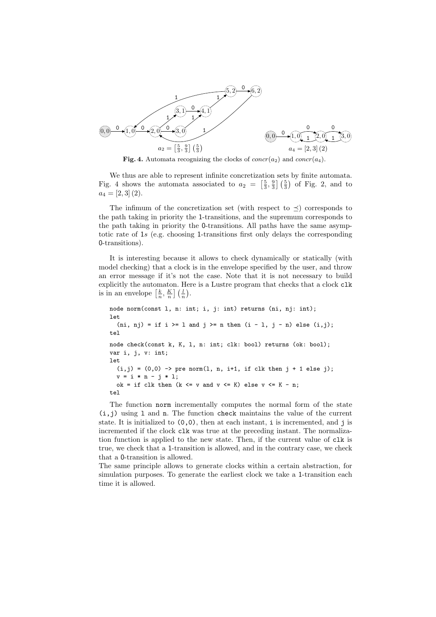

Fig. 4. Automata recognizing the clocks of  $concr(a_2)$  and  $concr(a_4)$ .

We thus are able to represent infinite concretization sets by finite automata. Fig. 4 shows the automata associated to  $a_2 = \left[\frac{5}{3}, \frac{9}{3}\right] \left(\frac{5}{3}\right)$  of Fig. 2, and to  $a_4 = [2,3]$  (2).

The infimum of the concretization set (with respect to  $\preceq$ ) corresponds to the path taking in priority the 1-transitions, and the supremum corresponds to the path taking in priority the 0-transitions. All paths have the same asymptotic rate of 1s (e.g. choosing 1-transitions first only delays the corresponding 0-transitions).

It is interesting because it allows to check dynamically or statically (with model checking) that a clock is in the envelope specified by the user, and throw an error message if it's not the case. Note that it is not necessary to build explicitly the automaton. Here is a Lustre program that checks that a clock clk is in an envelope  $\left[\frac{k}{n}, \frac{K}{n}\right] \left(\frac{l}{n}\right)$ .

node norm(const l, n: int; i, j: int) returns (ni, nj: int); let (ni, nj) = if i >= 1 and j >= n then  $(i - 1, j - n)$  else  $(i, j)$ ; tel node check(const k, K, l, n: int; clk: bool) returns (ok: bool); var i, j, v: int; let  $(i,j) = (0,0) \rightarrow pre norm(1, n, i+1, if clk then j + 1 else j);$  $v = i * n - i * 1$ : ok = if clk then (k <= v and v <= K) else v <= K - n; tel

The function norm incrementally computes the normal form of the state (i,j) using l and n. The function check maintains the value of the current state. It is initialized to  $(0,0)$ , then at each instant, i is incremented, and j is incremented if the clock clk was true at the preceding instant. The normalization function is applied to the new state. Then, if the current value of clk is true, we check that a 1-transition is allowed, and in the contrary case, we check that a 0-transition is allowed.

The same principle allows to generate clocks within a certain abstraction, for simulation purposes. To generate the earliest clock we take a 1-transition each time it is allowed.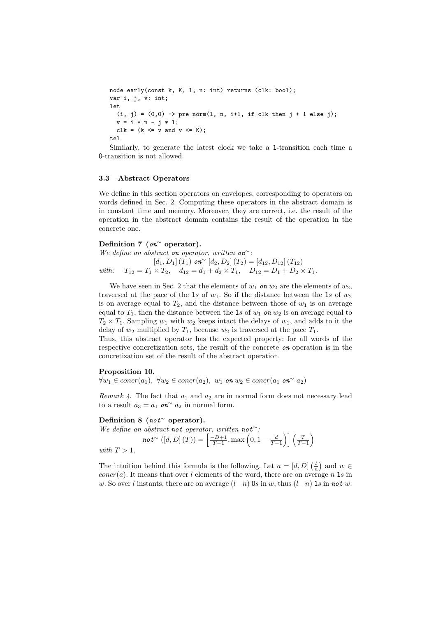```
node early(const k, K, l, n: int) returns (clk: bool);
var i, j, v: int;
let
  (i, j) = (0,0) -> pre norm(l, n, i+1, if clk then j + 1 else j);
  v = i * n - j * 1;\text{clk} = (\text{k} \leq v \text{ and } \text{v} \leq \text{K});tel
```
Similarly, to generate the latest clock we take a 1-transition each time a 0-transition is not allowed.

#### 3.3 Abstract Operators

We define in this section operators on envelopes, corresponding to operators on words defined in Sec. 2. Computing these operators in the abstract domain is in constant time and memory. Moreover, they are correct, i.e. the result of the operation in the abstract domain contains the result of the operation in the concrete one.

# Definition 7 (on<sup>∼</sup> operator).

We define an abstract on operator, written on<sup>∼</sup>:  $[d_1, D_1](T_1)$  on<sup>∼</sup>  $[d_2, D_2](T_2) = [d_{12}, D_{12}](T_{12})$ with:  $T_{12} = T_1 \times T_2$ ,  $d_{12} = d_1 + d_2 \times T_1$ ,  $D_{12} = D_1 + D_2 \times T_1$ .

We have seen in Sec. 2 that the elements of  $w_1$  on  $w_2$  are the elements of  $w_2$ , traversed at the pace of the 1s of  $w_1$ . So if the distance between the 1s of  $w_2$ is on average equal to  $T_2$ , and the distance between those of  $w_1$  is on average equal to  $T_1$ , then the distance between the 1s of  $w_1$  on  $w_2$  is on average equal to  $T_2 \times T_1$ . Sampling  $w_1$  with  $w_2$  keeps intact the delays of  $w_1$ , and adds to it the delay of  $w_2$  multiplied by  $T_1$ , because  $w_2$  is traversed at the pace  $T_1$ .

Thus, this abstract operator has the expected property: for all words of the respective concretization sets, the result of the concrete on operation is in the concretization set of the result of the abstract operation.

### Proposition 10.

 $\forall w_1 \in corr(a_1), \ \forall w_2 \in corner(a_2), \ w_1 \text{ on } w_2 \in corner(a_1 \text{ on } ^\sim a_2)$ 

Remark 4. The fact that  $a_1$  and  $a_2$  are in normal form does not necessary lead to a result  $a_3 = a_1$  on<sup>∼</sup>  $a_2$  in normal form.

### Definition 8 (not<sup>∼</sup> operator).

We define an abstract not operator, written not<sup>∼</sup>:

$$
\textit{not}^{\sim} ([d, D] (T)) = \left[ \frac{-D+1}{T-1}, \max \left( 0, 1 - \frac{d}{T-1} \right) \right] \left( \frac{T}{T-1} \right)
$$

with  $T > 1$ .

The intuition behind this formula is the following. Let  $a = [d, D] \left(\frac{l}{n}\right)$  and  $w \in$  $concr(a)$ . It means that over l elements of the word, there are on average n 1s in w. So over l instants, there are on average  $(l-n)$  0s in w, thus  $(l-n)$  1s in not w.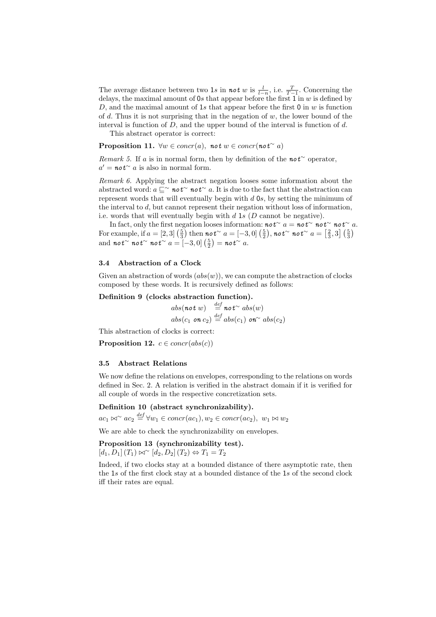The average distance between two 1s in **not** w is  $\frac{l}{l-n}$ , i.e.  $\frac{T}{T-1}$ . Concerning the delays, the maximal amount of 0s that appear before the first 1 in  $w$  is defined by D, and the maximal amount of 1s that appear before the first  $0$  in  $w$  is function of  $d$ . Thus it is not surprising that in the negation of  $w$ , the lower bound of the interval is function of  $D$ , and the upper bound of the interval is function of  $d$ .

This abstract operator is correct:

Proposition 11.  $\forall w \in concr(a), \text{ not } w \in concr(not^\sim a)$ 

Remark 5. If a is in normal form, then by definition of the not<sup>∼</sup> operator,  $a' = \textit{not}^{\sim} a$  is also in normal form.

Remark 6. Applying the abstract negation looses some information about the abstracted word:  $a ⊆^{\sim}$  not<sup>∼</sup> not<sup>∼</sup> a. It is due to the fact that the abstraction can represent words that will eventually begin with  $d \mathbf{0}s$ , by setting the minimum of the interval to  $d$ , but cannot represent their negation without loss of information, i.e. words that will eventually begin with  $d\mathbf{1}s$  (D cannot be negative).

In fact, only the first negation looses information: not∼  $a = \textit{not}~ \textit{not}~ n \textit{ot}~ \textit{or}~ a$ . For example, if  $a = [2, 3] \left(\frac{5}{3}\right)$  then not∼  $a = [-3, 0] \left(\frac{5}{2}\right)$ , not∼ not∼  $a = \left[\frac{2}{3}, 3\right] \left(\frac{5}{3}\right)$ and not~ not~ not~  $a = \left[-3, 0\right] \left(\frac{5}{2}\right) =$  not~  $a$ .

### 3.4 Abstraction of a Clock

Given an abstraction of words  $(abs(w))$ , we can compute the abstraction of clocks composed by these words. It is recursively defined as follows:

## Definition 9 (clocks abstraction function).

 $abs(\textbf{\textit{not}}~w) \stackrel{def}{=} \textbf{\textit{not}}^\sim abs(w)$  $abs(c_1 \textbf{ on } c_2) \stackrel{def}{=} abs(c_1) \textbf{ on}^\sim abs(c_2)$ 

This abstraction of clocks is correct:

**Proposition 12.**  $c \in \text{conc}(\text{abs}(c))$ 

### 3.5 Abstract Relations

We now define the relations on envelopes, corresponding to the relations on words defined in Sec. 2. A relation is verified in the abstract domain if it is verified for all couple of words in the respective concretization sets.

Definition 10 (abstract synchronizability).

 $ac_1 \bowtie^{\sim} ac_2 \stackrel{def}{=} \forall w_1 \in concr(ac_1), w_2 \in concr(ac_2), w_1 \bowtie w_2$ 

We are able to check the synchronizability on envelopes.

Proposition 13 (synchronizability test).  $[d_1, D_1](T_1) \bowtie^{\sim} [d_2, D_2](T_2) \Leftrightarrow T_1 = T_2$ 

Indeed, if two clocks stay at a bounded distance of there asymptotic rate, then the 1s of the first clock stay at a bounded distance of the 1s of the second clock iff their rates are equal.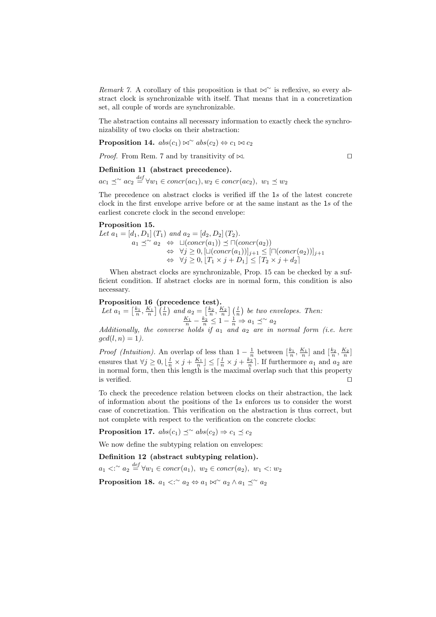Remark 7. A corollary of this proposition is that  $\bowtie \sim$  is reflexive, so every abstract clock is synchronizable with itself. That means that in a concretization set, all couple of words are synchronizable.

The abstraction contains all necessary information to exactly check the synchronizability of two clocks on their abstraction:

Proposition 14.  $abs(c_1) \bowtie^{\sim} abs(c_2) \Leftrightarrow c_1 \bowtie c_2$ 

*Proof.* From Rem. 7 and by transitivity of  $\Join$ . □

Definition 11 (abstract precedence).

 $ac_1 \preceq^{\sim} ac_2 \stackrel{def}{=} \forall w_1 \in concr(ac_1), w_2 \in concr(ac_2), w_1 \preceq w_2$ 

The precedence on abstract clocks is verified iff the 1s of the latest concrete clock in the first envelope arrive before or at the same instant as the 1s of the earliest concrete clock in the second envelope:

### Proposition 15.

Let 
$$
a_1 = [d_1, D_1](T_1)
$$
 and  $a_2 = [d_2, D_2](T_2)$ .  
\n $a_1 \preceq^{\sim} a_2 \Leftrightarrow \Box(concr(a_1)) \preceq \Box(concr(a_2))$   
\n $\Leftrightarrow \forall j \geq 0, [\Box(concr(a_1))]_{j+1} \leq [\Box(concr(a_2))]_{j+1}$   
\n $\Leftrightarrow \forall j \geq 0, [T_1 \times j + D_1] \leq [T_2 \times j + d_2]$ 

When abstract clocks are synchronizable, Prop. 15 can be checked by a sufficient condition. If abstract clocks are in normal form, this condition is also necessary.

Proposition 16 (precedence test). Let  $a_1 = \left[\frac{k_1}{n}, \frac{K_1}{n}\right] \left(\frac{l}{n}\right)$  and  $a_2 = \left[\frac{k_2}{n}, \frac{K_2}{n}\right] \left(\frac{l}{n}\right)$  be two envelopes. Then:  $\frac{K_1}{n} - \frac{k_2}{n} \leq 1 - \frac{1}{n} \Rightarrow a_1 \preceq^\sim a_2$ 

Additionally, the converse holds if  $a_1$  and  $a_2$  are in normal form (i.e. here  $gcd(l, n) = 1$ .

*Proof (Intuition)*. An overlap of less than  $1 - \frac{1}{n}$  between  $\left[\frac{k_1}{n}, \frac{K_1}{n}\right]$  and  $\left[\frac{k_2}{n}, \frac{K_2}{n}\right]$ ensures that  $\forall j \geq 0, \lfloor \frac{l}{n} \times j + \frac{K_1}{n} \rfloor \leq \lceil \frac{l}{n} \times j + \frac{k_2}{n} \rceil$ . If furthermore  $a_1$  and  $a_2$  are in normal form, then this length is the maximal overlap such that this property is verified. ⊓⊔

To check the precedence relation between clocks on their abstraction, the lack of information about the positions of the 1s enforces us to consider the worst case of concretization. This verification on the abstraction is thus correct, but not complete with respect to the verification on the concrete clocks:

**Proposition 17.**  $abs(c_1) \prec^{\sim} abs(c_2) \Rightarrow c_1 \prec c_2$ 

We now define the subtyping relation on envelopes:

Definition 12 (abstract subtyping relation).

 $a_1 <sup>o</sup> - a_2 \stackrel{def}{=} \forall w_1 \in concr(a_1), w_2 \in concr(a_2), w_1 < :w_2$ 

**Proposition 18.**  $a_1 < \cdots \ a_2 \Leftrightarrow a_1 \bowtie^{\sim} a_2 \wedge a_1 \preceq^{\sim} a_2$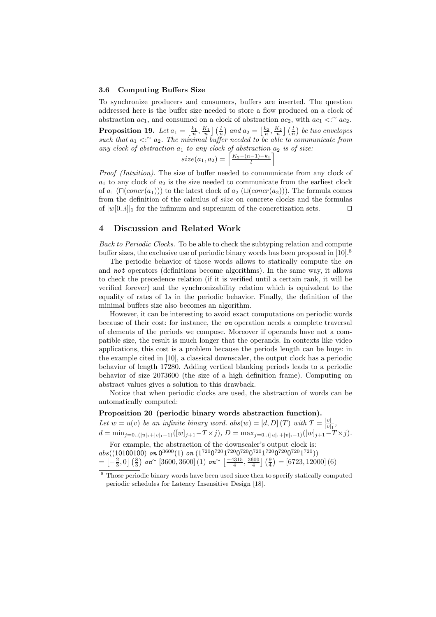#### 3.6 Computing Buffers Size

To synchronize producers and consumers, buffers are inserted. The question addressed here is the buffer size needed to store a flow produced on a clock of abstraction  $ac_1$ , and consumed on a clock of abstraction  $ac_2$ , with  $ac_1 < c_2$ . **Proposition 19.** Let  $a_1 = \left[\frac{k_1}{n}, \frac{K_1}{n}\right] \left(\frac{l}{n}\right)$  and  $a_2 = \left[\frac{k_2}{n}, \frac{K_2}{n}\right] \left(\frac{l}{n}\right)$  be two envelopes such that  $a_1 < \cdots a_2$ . The minimal buffer needed to be able to communicate from any clock of abstraction  $a_1$  to any clock of abstraction  $a_2$  is of size:

$$
size(a_1, a_2) = \left\lceil \frac{K_2 - (n-1) - k_1}{l} \right\rceil
$$

Proof (Intuition). The size of buffer needed to communicate from any clock of  $a_1$  to any clock of  $a_2$  is the size needed to communicate from the earliest clock of  $a_1$  ( $\Box (concr(a_1))$ ) to the latest clock of  $a_2$  ( $\Box (concr(a_2))$ ). The formula comes from the definition of the calculus of size on concrete clocks and the formulas of  $|w[0..i]|_1$  for the infimum and supremum of the concretization sets. □

## 4 Discussion and Related Work

Back to Periodic Clocks. To be able to check the subtyping relation and compute buffer sizes, the exclusive use of periodic binary words has been proposed in [10].<sup>8</sup>

The periodic behavior of those words allows to statically compute the *on* and not operators (definitions become algorithms). In the same way, it allows to check the precedence relation (if it is verified until a certain rank, it will be verified forever) and the synchronizability relation which is equivalent to the equality of rates of 1s in the periodic behavior. Finally, the definition of the minimal buffers size also becomes an algorithm.

However, it can be interesting to avoid exact computations on periodic words because of their cost: for instance, the  $\infty$  operation needs a complete traversal of elements of the periods we compose. Moreover if operands have not a compatible size, the result is much longer that the operands. In contexts like video applications, this cost is a problem because the periods length can be huge: in the example cited in [10], a classical downscaler, the output clock has a periodic behavior of length 17280. Adding vertical blanking periods leads to a periodic behavior of size 2073600 (the size of a high definition frame). Computing on abstract values gives a solution to this drawback.

Notice that when periodic clocks are used, the abstraction of words can be automatically computed:

Proposition 20 (periodic binary words abstraction function). Let  $w = u(v)$  be an infinite binary word.  $abs(w) = [d, D](T)$  with  $T = \frac{|v|}{|v|}$  $\frac{|v|}{|v|_1},$  $d = \min_{j=0..(|u|_1+|v|_1-1)}([w]_{j+1}-T\times j), D = \max_{j=0..(|u|_1+|v|_1-1)}([w]_{j+1}-T\times j).$ For example, the abstraction of the downscaler's output clock is:  $abs((10100100)$  on  $0^{3600}(1)$  on  $(1^{720}0^{720}1^{720}0^{720}0^{720}1^{720}0^{720}1^{720})$  $=\left[-\frac{2}{3},0\right]\left(\frac{8}{3}\right)$  on~  $[3600,3600]$   $(1)$  on~  $\left[-\frac{4315}{4},\frac{3600}{4}\right]\left(\frac{9}{4}\right) = [6723,12000]$   $(6)$ 

<sup>8</sup> Those periodic binary words have been used since then to specify statically computed periodic schedules for Latency Insensitive Design [18].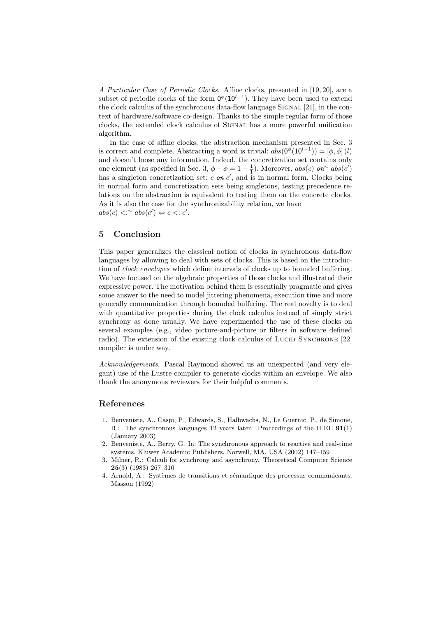A Particular Case of Periodic Clocks. Affine clocks, presented in [19, 20], are a subset of periodic clocks of the form  $0^{\phi}(10^{l-1})$ . They have been used to extend the clock calculus of the synchronous data-flow language SIGNAL [21], in the context of hardware/software co-design. Thanks to the simple regular form of those clocks, the extended clock calculus of Signal has a more powerful unification algorithm.

In the case of affine clocks, the abstraction mechanism presented in Sec. 3 is correct and complete. Abstracting a word is trivial:  $abs(0^{\phi}(10^{l-1})) = [\phi, \phi]$  (l) and doesn't loose any information. Indeed, the concretization set contains only one element (as specified in Sec. 3,  $\phi - \phi = 1 - \frac{1}{1}$ ). Moreover,  $abs(c)$  on<sup>∼</sup>  $abs(c')$ has a singleton concretization set: c on c', and is in normal form. Clocks being in normal form and concretization sets being singletons, testing precedence relations on the abstraction is equivalent to testing them on the concrete clocks. As it is also the case for the synchronizability relation, we have  $abs(c) <^{\sim} abs(c') \Leftrightarrow c <^{\prime} c'.$ 

# 5 Conclusion

This paper generalizes the classical notion of clocks in synchronous data-flow languages by allowing to deal with sets of clocks. This is based on the introduction of *clock envelopes* which define intervals of clocks up to bounded buffering. We have focused on the algebraic properties of those clocks and illustrated their expressive power. The motivation behind them is essentially pragmatic and gives some answer to the need to model jittering phenomena, execution time and more generally communication through bounded buffering. The real novelty is to deal with quantitative properties during the clock calculus instead of simply strict synchrony as done usually. We have experimented the use of these clocks on several examples (e.g., video picture-and-picture or filters in software defined radio). The extension of the existing clock calculus of LUCID SYNCHRONE [22] compiler is under way.

Acknowledgements. Pascal Raymond showed us an unexpected (and very elegant) use of the Lustre compiler to generate clocks within an envelope. We also thank the anonymous reviewers for their helpful comments.

# References

- 1. Benveniste, A., Caspi, P., Edwards, S., Halbwachs, N., Le Guernic, P., de Simone, R.: The synchronous languages 12 years later. Proceedings of the IEEE  $91(1)$ (January 2003)
- 2. Benveniste, A., Berry, G. In: The synchronous approach to reactive and real-time systems. Kluwer Academic Publishers, Norwell, MA, USA (2002) 147–159
- 3. Milner, R.: Calculi for synchrony and asynchrony. Theoretical Computer Science 25(3) (1983) 267–310
- 4. Arnold, A.: Systèmes de transitions et sémantique des processus communicants. Masson (1992)